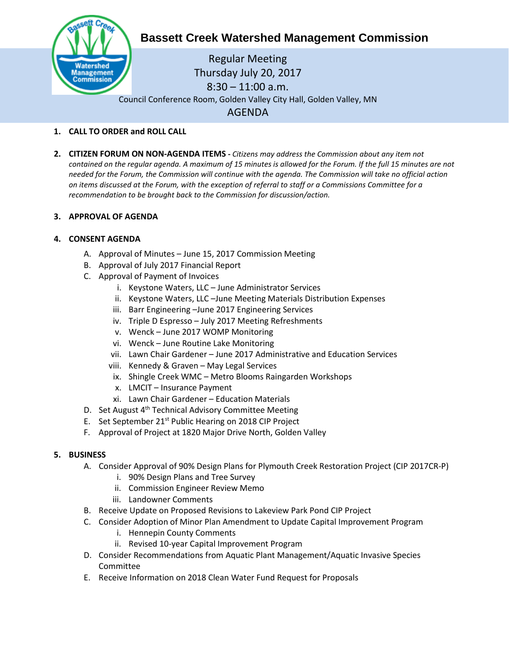

# **Bassett Creek Watershed Management Commission**

Regular Meeting Thursday July 20, 2017 8:30 – 11:00 a.m. Council Conference Room, Golden Valley City Hall, Golden Valley, MN AGENDA

## **1. CALL TO ORDER and ROLL CALL**

**2. CITIZEN FORUM ON NON-AGENDA ITEMS -** *Citizens may address the Commission about any item not contained on the regular agenda. A maximum of 15 minutes is allowed for the Forum. If the full 15 minutes are not needed for the Forum, the Commission will continue with the agenda. The Commission will take no official action on items discussed at the Forum, with the exception of referral to staff or a Commissions Committee for a recommendation to be brought back to the Commission for discussion/action.*

## **3. APPROVAL OF AGENDA**

# **4. CONSENT AGENDA**

- A. Approval of Minutes June 15, 2017 Commission Meeting
- B. Approval of July 2017 Financial Report
- C. Approval of Payment of Invoices
	- i. Keystone Waters, LLC June Administrator Services
	- ii. Keystone Waters, LLC –June Meeting Materials Distribution Expenses
	- iii. Barr Engineering –June 2017 Engineering Services
	- iv. Triple D Espresso July 2017 Meeting Refreshments
	- v. Wenck June 2017 WOMP Monitoring
	- vi. Wenck June Routine Lake Monitoring
	- vii. Lawn Chair Gardener June 2017 Administrative and Education Services
	- viii. Kennedy & Graven May Legal Services
	- ix. Shingle Creek WMC Metro Blooms Raingarden Workshops
	- x. LMCIT Insurance Payment
	- xi. Lawn Chair Gardener Education Materials
- D. Set August 4<sup>th</sup> Technical Advisory Committee Meeting
- E. Set September 21<sup>st</sup> Public Hearing on 2018 CIP Project
- F. Approval of Project at 1820 Major Drive North, Golden Valley

## **5. BUSINESS**

- A. Consider Approval of 90% Design Plans for Plymouth Creek Restoration Project (CIP 2017CR-P)
	- i. 90% Design Plans and Tree Survey
	- ii. Commission Engineer Review Memo
	- iii. Landowner Comments
- B. Receive Update on Proposed Revisions to Lakeview Park Pond CIP Project
- C. Consider Adoption of Minor Plan Amendment to Update Capital Improvement Program
	- i. Hennepin County Comments
	- ii. Revised 10-year Capital Improvement Program
- D. Consider Recommendations from Aquatic Plant Management/Aquatic Invasive Species Committee
- E. Receive Information on 2018 Clean Water Fund Request for Proposals